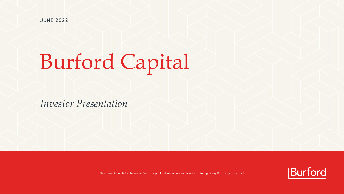**JUNE 2022**

# Burford Capital

*Investor Presentation*



This presentation is for the use of Burford's public shareholders and is not an offering of any Burford private fund.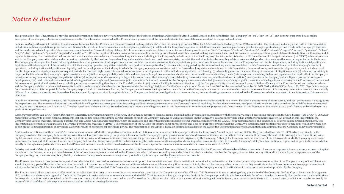## *Notice & disclaimer*

This presentation (this "Presentation") provides certain information to facilitate review and understanding of the business, operations and results of Burford Capital Limited and its subsidiaries (the "Company" or "we", "o description of the Company's business, operations or results. The information contained in this Presentation is provided as at the dates indicated in this Presentation and is subject to change without notice.

Forward-looking statements. In addition to statements of historical fact, this Presentation contains "forward-looking statements" within the meaning of Section 21E of the US Securities and Exchange Act of 1934, as amended. include assumptions, expectations, projections, intentions and beliefs about future events in a number of places, particularly in relation to the Company's operations, cash flows, financial position, plans, strategies, bus , "and the markets in which it operates. These statements are intended as "forward-looking statements". In some cases, predictive, future-tense or forward-looking words such as "aim", "anticipate", "believe", "continue", " "may", "plan", "potential", "predict", "projected", "should" or "will" or the negative of such terms or other comparable terminology are intended to identify forward-looking statements, but are not the exclusive means of i representatives may from time to time make other oral or written statements which are forward-looking statements, including in the Company's periodic reports that the Company files with, or furnishes to, the US Securities sent to the Company's security holders and other written materials. By their nature, forward-looking statements involve known and unknown risks, uncertainties and other factors because they relate to events and depend on c The Company cautions you that forward-looking statements are not guarantees of future performance and are based on numerous assumptions, expectations, projections, intentions and beliefs and that the Company's actual resul liquidity, and the development of the industry in which the Company operates, may differ materially from (and be more negative than) those made in, or suggested by, the forward-looking statements contained in this Presenta operations, including its financial position and liquidity, and the development of the industry in which the Company operates, are consistent with the forward-looking statements contained in this Presentation, those result results of operations or developments in subsequent periods. Factors that might cause future results of operations or developments to differ include, among others, the following: (i) adverse litigation outcomes and timing respect of the fair value of the Company's capital provision assets; (iii) the Company's ability to identify and select suitable legal finance assets and enter into contracts with new and existing clients; (iv) changes and industry, including those relating to privileged information; (v) improper use or disclosure of privileged information under the Company's control due to cybersecurity breaches, unauthorized use or theft; (vi) inadequacies developments; (vii) credit risk and concentration risk relating to the Company's legal finance assets; (viii) competitive factors and demand for the Company's services and capital; (ix) negative publicity or public percept future economic, political and market forces, including uncertainty surrounding the effects of the Covid-19 pandemic; (xi) potential liability from future litigation; (xii) the Company's ability to retain key employees; (x and the Company's ability to raise capital to meet its liquidity needs; and (xiv) the other factors discussed under the heading "Risk factors" in the Company's Annual Report on Form 20-F for the year ended December 31, 202 from time to time, and it is not possible for the Company to predict all of these factors. Further, the Company cannot assess the impact of each such factor on the Company's business or the extent to which any factor, or c different from those contained in any forward-looking statement. Except as required by applicable law, the Company undertakes no obligation to update or revise any forward-looking statements contained in this Presentation, otherwise.

In addition to forward-looking statements, this Presentation includes certain data based on calculations derived from the Company's internal modeling of individual matters and its portfolio as a whole. This data is not a f future performance. The inherent volatility and unpredictability of legal finance assets precludes forecasting and limits the predictive nature of the Company's internal modeling. Further, the inherent nature of probabilis results, and such differences could be material. The data based on calculations derived from the Company's internal modeling contained in this Presentation is for informational purposes only. No statement in this Presentat guide to future performance.

Basis of presentation; non-GAAP financial measures; alternative performance measures; definitions. The Company reports its financial results included in this Presentation in accordance with the generally accepted accountin requires the Company to present financial statements that consolidate some of the limited partner interests in funds the Company manages as well as assets held on the Company's balance sheet where it has a partner or minor Company uses various measures, including Burford-only and Group-wide financial measures, which are calculated and presented using methodologies other than in accordance with US GAAP, to supplement analysis and discussion o Presentation also contains certain unaudited alternative performance measures ("APMs"). The presentation of the APMs is for informational purposes only and does not purport to present what the Company's actual financial po does it project its financial position at any future date or its results of operations for any future period. The presentation of the APMs is based on information available at the date of this Presentation and certain assu

Additional information about these non-GAAP financial measures and APMs, their respective definitions and calculations and certain reconciliations are provided in the Company's Annual Report on Form 20-F for the year ended Company's website. The Company believes Group-wide financial measures, including Group-wide information on the Company's capital provision assets and undrawn commitments, are useful to investors because they convey the sca capital provision assets) and potential future (in the case of Group-wide undrawn commitments) business and the performance of all legal finance assets originated by the Company. Although the Company does not receive all o performance fees as part of its income. Further, the Company believes that Group-wide portfolio metrics, including the performance of its managed funds, are important measures by which to assess the Company's ability to at directly or through managed funds. These non-GAAP financial measures should not be considered as a substitute for, or superior to, financial measures calculated in accordance with US GAAP.

Industry and market data. Any industry and market information contained in this Presentation, or on which this Presentation is based, has been obtained from sources that the Company believes to be reliable and accurate. Ho is made as to the fairness, accuracy or completeness of the information or opinions contained in this Presentation, which information and opinions should not be relied or acted on. Neither the Company, its associates nor a Company or its group members accepts any liability whatsoever for any loss howsoever arising, directly or indirectly, from any use of this Presentation or its contents.

\* \* \* \* \* This Presentation does not constitute or form part of, and should not be construed as, an issue for sale or subscription of, or solicitation of any offer or invitation to subscripe for, underwrite or otherwise acquire or d should they or any part of them form the basis of, or be relied on in connection with, any contract or commitment whatsoever which may at any time be entered into by the recipient nor any other person, nor do they constitu activity under Section 21 of the Financial Services and Markets Act 2000, as amended. This Presentation does not constitute an invitation to effect any transaction with the Company or any of its affiliates or to make use o

This Presentation shall not constitute an offer to sell or the solicitation of an offer to buy any ordinary shares or other securities of the Company or any of its affiliates. This Presentation is not an offering of any pr LLC, which acts as the fund manager of all funds of the Company, is registered as an investment adviser with the SEC. The information relating to the private funds of the Company provided in this Presentation is for inform future results. Any information contained in this Presentation is not, and should not be construed as, an offer to sell or the solicitation of an offer to buy any securities (including, without limitation, interests or sha means of a final confidential private placement memorandum and other offering documents.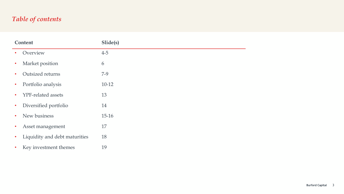## *Table of contents*

| Content   |                               | Slide(s) |
|-----------|-------------------------------|----------|
| $\bullet$ | Overview                      | $4 - 5$  |
| $\bullet$ | Market position               | 6        |
| $\bullet$ | Outsized returns              | $7-9$    |
| $\bullet$ | Portfolio analysis            | $10-12$  |
| $\bullet$ | YPF-related assets            | 13       |
| $\bullet$ | Diversified portfolio         | 14       |
| $\bullet$ | New business                  | $15-16$  |
| $\bullet$ | Asset management              | 17       |
| $\bullet$ | Liquidity and debt maturities | 18       |
|           |                               |          |

• Key investment themes 19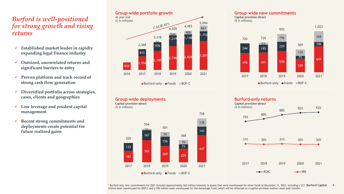## *Burford is well-positioned for strong growth and rising returns*

- ✓ **Established market leader in rapidly expanding legal finance industry**
- ✓ **Outsized, uncorrelated returns and significant barriers to entry**
- ✓ **Proven platform and track record of strong cash flow generation**
- ✓ **Diversified portfolio across strategies, cases, clients and geographies**
- ✓ **Low leverage and prudent capital management**
- ✓ **Recent strong commitments and deployments create potential for future realized gains**

#### 858 1,556 2,189 2,746 2,929 <sup>3,281</sup> 812 976 1,219 1,148  $1,152$ 53 <sup>244</sup> <sup>406</sup> 661 2,368 3,218 CAGR: 43% 4,483 5,094 2016 2017 2018 2019 2020 2021 **Group-wide portfolio growth** At year end (\$ in millions)

■Burford-only ■Funds ■BOF-C

**Group-wide deployments**



#### **Group-wide new commitments Capital provision-direct**





<sup>1</sup> Burford-only new commitments for 2021 includes approximately \$63 million interests in assets that were warehoused for other funds at December 31, 2021, including a \$13 Burford Capital 4 million asset warehoused for BOF-C and a \$50 million asset warehoused for the Advantage Fund, which will be reflected as a capital provision-indirect asset post transfer.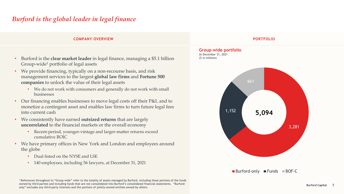## *Burford is the global leader in legal finance*

#### **COMPANY OVERVIEW PORTFOLIO**

- Burford is the **clear market leader** in legal finance, managing a \$5.1 billion Group-wide<sup>1</sup> portfolio of legal assets
- We provide financing, typically on a non-recourse basis, and risk management services to the largest **global law firms** and **Fortune 500 companies** to unlock the value of their legal assets
	- We do not work with consumers and generally do not work with small businesses
- Our financing enables businesses to move legal costs off their P&L and to monetize a contingent asset and enables law firms to turn future legal fees into current cash
- We consistently have earned **outsized returns** that are largely **uncorrelated** to the financial markets or the overall economy
	- Recent-period, younger-vintage and larger-matter returns exceed cumulative ROIC
- We have primary offices in New York and London and employees around the globe
	- Dual-listed on the NYSE and LSE
	- 140 employees, including 56 lawyers, at December 31, 2021



 $\blacksquare$  Burford-only  $\blacksquare$  Funds  $\blacksquare$  BOF-C

<sup>1</sup>References throughout to "Group-wide" refer to the totality of assets managed by Burford, including those portions of the funds owned by third parties and including funds that are not consolidated into Burford's consolidated financial statements. "Burfordonly" excludes any third-party interests and the portions of jointly-owned entities owned by others.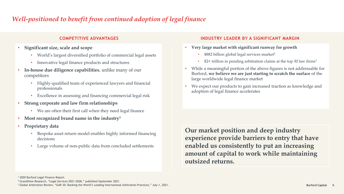## *Well-positioned to benefit from continued adoption of legal finance*

- **Significant size, scale and scope**
	- World's largest diversified portfolio of commercial legal assets
	- Innovative legal finance products and structures
- **In-house due diligence capabilities**, unlike many of our competitors
	- Highly-qualified team of experienced lawyers and financial professionals
	- Excellence in assessing and financing commercial legal risk
- **Strong corporate and law firm relationships**
	- We are often their first call when they need legal finance
- **Most recognized brand name in the industry<sup>1</sup>**
- **Proprietary data**
	- Bespoke asset return model enables highly informed financing decisions
	- Large volume of non-public data from concluded settlements

#### **COMPETITIVE ADVANTAGES INDUSTRY LEADER BY A SIGNIFICANT MARGIN**

- **Very large market with significant runway for growth**
	- \$882 billion global legal services market<sup>2</sup>
	- $$2+$  trillion in pending arbitration claims at the top 30 law firms<sup>3</sup>
- While a meaningful portion of the above figures is not addressable for Burford, **we believe we are just starting to scratch the surface** of the large worldwide legal finance market
- We expect our products to gain increased traction as knowledge and adoption of legal finance accelerates

**Our market position and deep industry experience provide barriers to entry that have enabled us consistently to put an increasing amount of capital to work while maintaining outsized returns.**

<sup>1</sup> 2020 Burford Legal Finance Report.

<sup>2</sup> GrandView Research, "Legal Services 2021-2028," published September 2021.

<sup>3</sup> Global Arbitration Review, "GAR 30: Ranking the World's Leading International Arbitration Practices," July 1, 2021.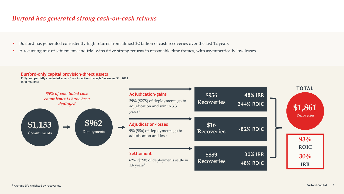## *Burford has generated strong cash-on-cash returns*

- Burford has generated consistently high returns from almost \$2 billion of cash recoveries over the last 12 years
- A recurring mix of settlements and trial wins drive strong returns in reasonable time frames, with asymmetrically low losses

#### **Burford-only capital provision-direct assets**

**Fully and partially concluded assets from inception through December 31, 2021** (\$ in millions)

![](_page_6_Figure_5.jpeg)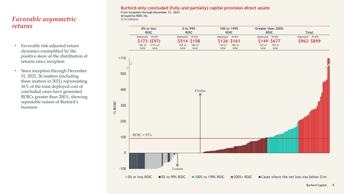## *Favorable asymmetric returns*

- Favorable risk-adjusted return dynamics exemplified by the positive skew of the distribution of returns since inception
- Since inception through December 31, 2021, 26 matters (including three matters in 2021) representing 16% of the total deployed cost of concluded cases have generated ROICs greater than 200%, showing repeatable nature of Burford's business

#### **Burford-only concluded (fully and partially) capital provision-direct assets**

**From inception through December 31, 2021 Arrayed by ROIC (%)** (\$ in millions)

| 0% or less        | 0 to 99%          | 100 to 199%        | Greater than 200% | Total             |
|-------------------|-------------------|--------------------|-------------------|-------------------|
| <b>ROIC</b>       | <b>ROIC</b>       | <b>ROIC</b>        | <b>ROIC</b>       |                   |
| Deployed: Profit: | Deployed: Profit: | Deployed: Profit:  | Deployed: Profit: | Deployed: Profit: |
| $$173$ (\$97)     | <b>S514 S158</b>  | <b>\$126 \$161</b> | \$149 \$677       | \$962 \$899       |
| $(11%)$ of        | $18\%$ of         | $18\%$ of          | 75% of            |                   |
| 18% of            | 53% of            | $13%$ of           | $16\%$ of         |                   |
| total             | total             | total              | total             |                   |
| total             | total             | total              | total             |                   |

![](_page_7_Figure_6.jpeg)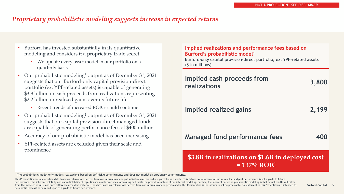## *Proprietary probabilistic modeling suggests increase in expected returns*

### • Burford has invested substantially in its quantitative modeling and considers it a proprietary trade secret

- We update every asset model in our portfolio on a quarterly basis
- Our probabilistic modeling<sup>1</sup> output as of December 31, 2021 suggests that our Burford-only capital provision-direct portfolio (ex. YPF-related assets) is capable of generating \$3.8 billion in cash proceeds from realizations representing \$2.2 billion in realized gains over its future life
	- Recent trends of increased ROICs could continue
- Our probabilistic modeling<sup>1</sup> output as of December 31, 2021 suggests that our capital provision-direct managed funds are capable of generating performance fees of \$400 million
- Accuracy of our probabilistic model has been increasing
- YPF-related assets are excluded given their scale and prominence

#### **Implied realizations and performance fees based on Burford's probabilistic model<sup>1</sup>**

Burford-only capital provision-direct portfolio, ex. YPF-related assets (\$ in millions)

| Implied cash proceeds from<br>realizations                          | 3,800 |  |
|---------------------------------------------------------------------|-------|--|
| Implied realized gains                                              | 2,199 |  |
| <b>Managed fund performance fees</b>                                | 400   |  |
| \$3.8B in realizations on \$1.6B in deployed cost<br>$= 137\%$ ROIC |       |  |

1 The probabilistic model only models realizations based on definitive commitments and does not model discretionary commitments.

This Presentation includes certain data based on calculations derived from our internal modeling of individual matters and our portfolio as a whole. This data is not a forecast of future results, and past performance is no performance. The inherent volatility and unpredictability of legal finance assets precludes forecasting and limits the predictive nature of our internal modeling. Further, the inherent nature of probabilistic modeling is t from the modeled results, and such differences could be material. The data based on calculations derived from our internal modeling contained in this Presentation is for informational purposes only. No statement in this Pr be a profit forecast or be relied upon as a guide to future performance.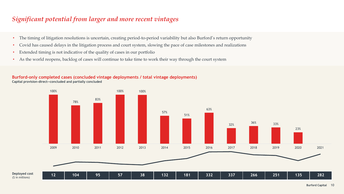## *Significant potential from larger and more recent vintages*

- The timing of litigation resolutions is uncertain, creating period-to-period variability but also Burford's return opportunity
- Covid has caused delays in the litigation process and court system, slowing the pace of case milestones and realizations
- Extended timing is not indicative of the quality of cases in our portfolio

(\$ in millions)

• As the world reopens, backlog of cases will continue to take time to work their way through the court system

#### **Burford-only completed cases (concluded vintage deployments / total vintage deployments) Capital provision-direct—concluded and partially concluded**

100% 78% 83% 100% 100% 57% 51% 63%  $32\%$   $36\%$   $33\%$ 23% 2009 2010 2011 2012 2013 2014 2015 2016 2017 2018 2019 2020 2021 **12 104 95 57 38 132 181 332 337 266 251 135 282 Deployed cost** 

**Burford Capital** 10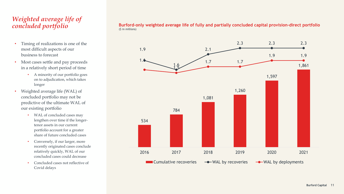## *Weighted average life of concluded portfolio*

- Timing of realizations is one of the most difficult aspects of our business to forecast
- Most cases settle and pay proceeds in a relatively short period of time
	- A minority of our portfolio goes on to adjudication, which takes longer
- Weighted average life (WAL) of concluded portfolio may not be predictive of the ultimate WAL of our existing portfolio
	- WAL of concluded cases may lengthen over time if the longertenor assets in our current portfolio account for a greater share of future concluded cases
	- Conversely, if our larger, more recently originated cases conclude relatively quickly, WAL of our concluded cases could decrease
	- Concluded cases not reflective of Covid delays

**Burford-only weighted average life of fully and partially concluded capital provision-direct portfolio** (\$ in millions)

![](_page_10_Figure_9.jpeg)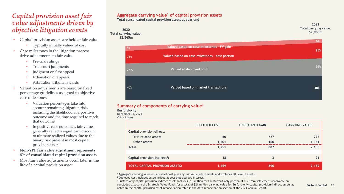## *Capital provision asset fair value adjustments driven by objective litigation events*

- Capital provision assets are held at fair value
	- Typically initially valued at cost
- Case milestones in the litigation process drive adjustments to fair value
	- Pre-trial rulings
	- Trial court judgments
	- Judgment on first appeal
	- Exhaustion of appeals
	- Arbitration tribunal awards
- Valuation adjustments are based on fixed percentage guidelines assigned to objective case milestones
	- Valuation percentages take into account remaining litigation risk, including the likelihood of a positive outcome and the time required to reach that outcome
	- In positive case outcomes, fair values generally reflect a significant discount to ultimate realized values due to the binary risk present in most capital provision assets
- **Non-YPF fair value adjustment represents 6% of consolidated capital provision assets**
- Most fair value adjustments occur later in the life of a capital provision asset

#### **Aggregate carrying value<sup>1</sup> of capital provision assets**

**Total consolidated capital provision assets at year end**

![](_page_11_Figure_16.jpeg)

|     |                                                | ___ |
|-----|------------------------------------------------|-----|
| 8%  | Valued based on case milestones - FV gain      | 25% |
| 21% | Valued based on case milestones - cost portion |     |
| 26% | Valued at deployed cost <sup>2</sup>           | 29% |
| 45% | Valued based on market transactions            | 40% |

#### **Summary of components of carrying value<sup>3</sup>**

**Burford-only**

December 31, 2021

(\$ in millions)

|                                           | <b>DEPLOYED COST</b> | <b>UNREALIZED GAIN</b> | <b>CARRYING VALUE</b> |
|-------------------------------------------|----------------------|------------------------|-----------------------|
| <b>Capital provision-direct:</b>          |                      |                        |                       |
| <b>YPF-related assets</b>                 | 50                   | 727                    | 777                   |
| Other assets                              | 1,201                | 160                    | 1,361                 |
| <b>Total</b>                              | 1,251                | 887                    | 2,138                 |
|                                           |                      |                        |                       |
| Capital provision-indirect <sup>3</sup> : | 18                   | 3                      | 21                    |
| <b>TOTAL CAPITAL PROVISION ASSETS:</b>    | 1,269                | 890                    | 2,159                 |

<sup>1</sup>Aggregate carrying value equals asset cost plus any fair value adjustments and excludes all Level 1 assets.

<sup>2</sup> Deployed cost includes assets priced at cost plus accrued interest.

<sup>3</sup> Burford-only capital provision-indirect assets includes \$10 million for the Burford-only portion of due from settlement receivable on concluded assets in the Strategic Value Fund, for a total of \$21 million carrying value for Burford-only capital provision-indirect assets as noted in the capital provision asset reconciliation table in the data reconciliation section of the 2021 Annual Report.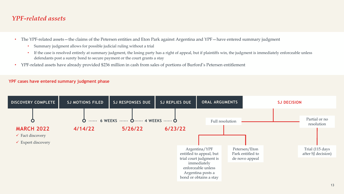## *YPF-related assets*

- The YPF-related assets—the claims of the Petersen entities and Eton Park against Argentina and YPF—have entered summary judgment
	- Summary judgment allows for possible judicial ruling without a trial
	- If the case is resolved entirely at summary judgment, the losing party has a right of appeal, but if plaintiffs win, the judgment is immediately enforceable unless defendants post a surety bond to secure payment or the court grants a stay
- YPF-related assets have already provided \$236 million in cash from sales of portions of Burford's Petersen entitlement

#### **YPF cases have entered summary judgment phase**

![](_page_12_Figure_6.jpeg)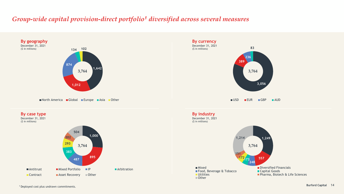## *Group-wide capital provision-direct portfolio<sup>1</sup> diversified across several measures*

![](_page_13_Figure_1.jpeg)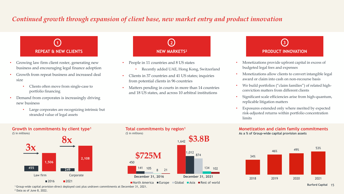## *Continued growth through expansion of client base, new market entry and product innovation*

![](_page_14_Picture_1.jpeg)

- Growing law firm client roster, generating new business and encouraging legal finance adoption
- Growth from repeat business and increased deal size
	- Clients often move from single-case to portfolio financing
- Demand from corporates is increasingly driving new business
	- Large corporates are recognizing intrinsic but stranded value of legal assets

![](_page_14_Picture_7.jpeg)

- People in 11 countries and 8 US states
	- Recently added UAE, Hong Kong, Switzerland
- Clients in 37 countries and 41 US states; inquiries from potential clients in 96 countries
- Matters pending in courts in more than 14 countries and 18 US states, and across 10 arbitral institutions

# **PRODUCT INNOVATION**

- Monetizations provide upfront capital in excess of budgeted legal fees and expenses
- Monetizations allow clients to convert intangible legal award or claim into cash on non-recourse basis
- We build portfolios ("claim families") of related highconviction matters from different clients
- Significant scale efficiencies arise from high-quantum, replicable litigation matters
- Exposures extended only where merited by expected risk-adjusted returns within portfolio concentration limits

#### **Monetization and claim family commitments As a % of Group-wide capital provision assets**

![](_page_14_Figure_19.jpeg)

**Growth in commitments by client type<sup>1</sup>** (\$ in millions)

![](_page_14_Figure_21.jpeg)

### **Total commitments by region<sup>1</sup>** (\$ in millions)

![](_page_14_Figure_23.jpeg)

■ North America ■ Europe ■ Global ■ Asia ■ Rest of world

<sup>1</sup>Group-wide capital provision-direct deployed cost plus undrawn commitments at December 31, 2021. <sup>2</sup> Data as of June 8, 2022.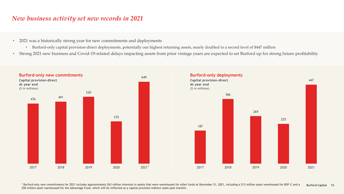## *New business activity set new records in 2021*

- 2021 was a historically strong year for new commitments and deployments
	- Burford-only capital provision-direct deployments, potentially our highest returning assets, nearly doubled to a record level of \$447 million
- Strong 2021 new business and Covid-19-related delays impacting assets from prior vintage years are expected to set Burford up for strong future profitability

![](_page_15_Figure_4.jpeg)

**Burford Capital** 16 <sup>1</sup> Burford-only new commitments for 2021 includes approximately \$63 million interests in assets that were warehoused for other funds at December 31, 2021, including a \$13 million asset warehoused for BOF-C and a \$50 million asset warehoused for the Advantage Fund, which will be reflected as a capital provision-indirect asset post transfer.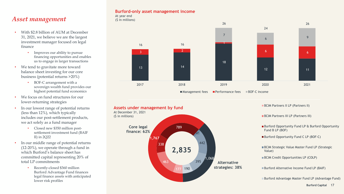## *Asset management*

- With \$2.8 billion of AUM at December 31, 2021, we believe we are the largest investment manager focused on legal finance
	- Improves our ability to pursue financing opportunities and enables us to engage in larger transactions
- We tend to gravitate more toward balance sheet investing for our core business (potential returns >20%)
	- BOF-C arrangement with a sovereign wealth fund provides our highest potential fund economics
- We focus on fund structures for our lower-returning strategies
- In our lowest range of potential returns (less than 12%), which typically includes our post-settlement products, we act solely as a fund manager
	- Closed new \$350 million postsettlement investment fund (BAIF II) in 2Q22
- In our middle range of potential returns (12-20%), we operate through a fund in which Burford's balance sheet has committed capital representing 20% of total LP commitments
	- Recently-closed \$360 million Burford Advantage Fund finances legal finance assets with anticipated lower risk profiles

#### **Burford-only asset management income** At year end

(\$ in millions)

![](_page_16_Figure_12.jpeg)

![](_page_16_Figure_13.jpeg)

**Burford Capital** 17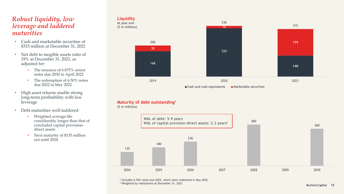## *Robust liquidity, low leverage and laddered maturities*

- Cash and marketable securities of \$315 million at December 31, 2021
- Net debt to tangible assets ratio of 19% at December 31, 2021, as adjusted for:
	- The issuance of 6.875% senior notes due 2030 in April 2022
	- The redemption of 6.50% notes due 2022 in May 2022
- High asset returns enable strong long-term profitability with low leverage
- Debt maturities well-laddered
	- Weighted average life considerably longer than that of concluded capital provisiondirect assets
	- Next maturity of \$135 million not until 2024

![](_page_17_Figure_9.jpeg)

#### **Maturity of debt outstanding<sup>1</sup>**

(\$ in millions)

![](_page_17_Figure_12.jpeg)

<sup>1</sup> Excludes 6.50% notes due 2022, which were redeemed in May 2022. <sup>2</sup> Weighted by realizations at December 31, 2021.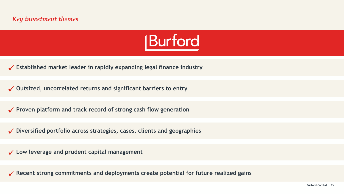![](_page_18_Picture_1.jpeg)

✓ **Established market leader in rapidly expanding legal finance industry**

✓ **Outsized, uncorrelated returns and significant barriers to entry**

✓ **Proven platform and track record of strong cash flow generation**

✓ **Diversified portfolio across strategies, cases, clients and geographies**

✓ **Low leverage and prudent capital management**

✓ **Recent strong commitments and deployments create potential for future realized gains**